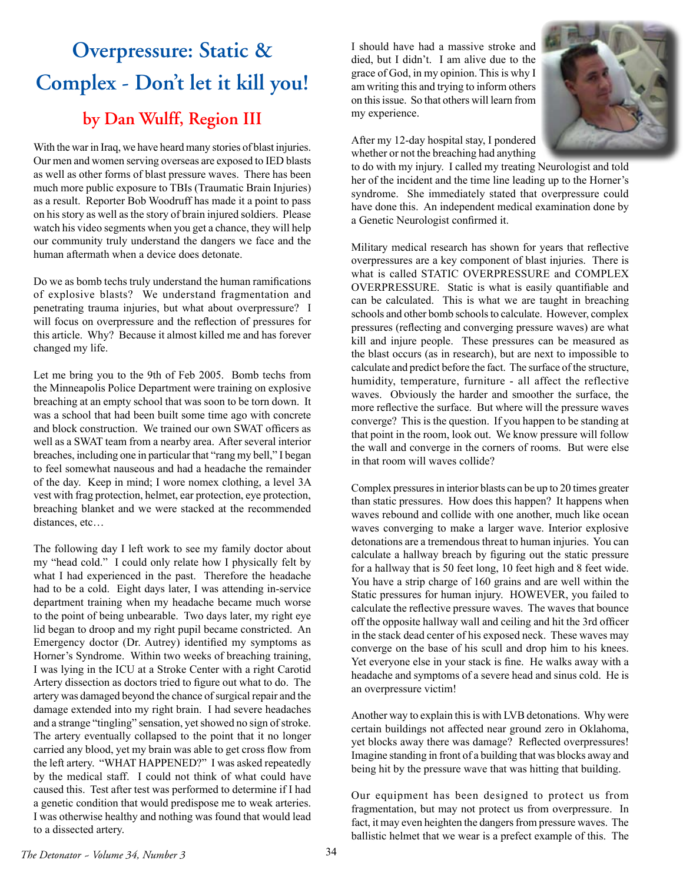## **Overpressure: Static & Complex - Don't let it kill you! by Dan Wulff, Region III**

With the war in Iraq, we have heard many stories of blast injuries. Our men and women serving overseas are exposed to IED blasts as well as other forms of blast pressure waves. There has been much more public exposure to TBIs (Traumatic Brain Injuries) as a result. Reporter Bob Woodruff has made it a point to pass on his story as well as the story of brain injured soldiers. Please watch his video segments when you get a chance, they will help our community truly understand the dangers we face and the human aftermath when a device does detonate.

Do we as bomb techs truly understand the human ramifications of explosive blasts? We understand fragmentation and penetrating trauma injuries, but what about overpressure? I will focus on overpressure and the reflection of pressures for this article. Why? Because it almost killed me and has forever changed my life.

Let me bring you to the 9th of Feb 2005. Bomb techs from the Minneapolis Police Department were training on explosive breaching at an empty school that was soon to be torn down. It was a school that had been built some time ago with concrete and block construction. We trained our own SWAT officers as well as a SWAT team from a nearby area. After several interior breaches, including one in particular that "rang my bell," I began to feel somewhat nauseous and had a headache the remainder of the day. Keep in mind; I wore nomex clothing, a level 3A vest with frag protection, helmet, ear protection, eye protection, breaching blanket and we were stacked at the recommended distances, etc…

The following day I left work to see my family doctor about my "head cold." I could only relate how I physically felt by what I had experienced in the past. Therefore the headache had to be a cold. Eight days later, I was attending in-service department training when my headache became much worse to the point of being unbearable. Two days later, my right eye lid began to droop and my right pupil became constricted. An Emergency doctor (Dr. Autrey) identified my symptoms as Horner's Syndrome. Within two weeks of breaching training, I was lying in the ICU at a Stroke Center with a right Carotid Artery dissection as doctors tried to figure out what to do. The artery was damaged beyond the chance of surgical repair and the damage extended into my right brain. I had severe headaches and a strange "tingling" sensation, yet showed no sign of stroke. The artery eventually collapsed to the point that it no longer carried any blood, yet my brain was able to get cross flow from the left artery. "WHAT HAPPENED?" I was asked repeatedly by the medical staff. I could not think of what could have caused this. Test after test was performed to determine if I had a genetic condition that would predispose me to weak arteries. I was otherwise healthy and nothing was found that would lead to a dissected artery.

I should have had a massive stroke and died, but I didn't. I am alive due to the grace of God, in my opinion. This is why I am writing this and trying to inform others on this issue. So that others will learn from my experience.



After my 12-day hospital stay, I pondered whether or not the breaching had anything

to do with my injury. I called my treating Neurologist and told her of the incident and the time line leading up to the Horner's syndrome. She immediately stated that overpressure could have done this. An independent medical examination done by a Genetic Neurologist confirmed it.

Military medical research has shown for years that reflective overpressures are a key component of blast injuries. There is what is called STATIC OVERPRESSURE and COMPLEX OVERPRESSURE. Static is what is easily quantifiable and can be calculated. This is what we are taught in breaching schools and other bomb schools to calculate. However, complex pressures (reflecting and converging pressure waves) are what kill and injure people. These pressures can be measured as the blast occurs (as in research), but are next to impossible to calculate and predict before the fact. The surface of the structure, humidity, temperature, furniture - all affect the reflective waves. Obviously the harder and smoother the surface, the more reflective the surface. But where will the pressure waves converge? This is the question. If you happen to be standing at that point in the room, look out. We know pressure will follow the wall and converge in the corners of rooms. But were else in that room will waves collide?

Complex pressures in interior blasts can be up to 20 times greater than static pressures. How does this happen? It happens when waves rebound and collide with one another, much like ocean waves converging to make a larger wave. Interior explosive detonations are a tremendous threat to human injuries. You can calculate a hallway breach by figuring out the static pressure for a hallway that is 50 feet long, 10 feet high and 8 feet wide. You have a strip charge of 160 grains and are well within the Static pressures for human injury. HOWEVER, you failed to calculate the reflective pressure waves. The waves that bounce off the opposite hallway wall and ceiling and hit the 3rd officer in the stack dead center of his exposed neck. These waves may converge on the base of his scull and drop him to his knees. Yet everyone else in your stack is fine. He walks away with a headache and symptoms of a severe head and sinus cold. He is an overpressure victim!

Another way to explain this is with LVB detonations. Why were certain buildings not affected near ground zero in Oklahoma, yet blocks away there was damage? Reflected overpressures! Imagine standing in front of a building that was blocks away and being hit by the pressure wave that was hitting that building.

Our equipment has been designed to protect us from fragmentation, but may not protect us from overpressure. In fact, it may even heighten the dangers from pressure waves. The ballistic helmet that we wear is a prefect example of this. The